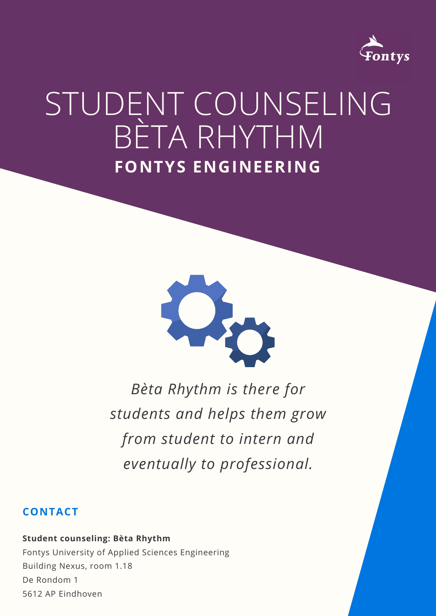### **CONTACT**

#### **Student counseling: Bèta Rhythm**

Fontys University of Applied Sciences Engineering Building Nexus, room 1.18 De Rondom 1 5612 AP Eindhoven



# STUDENT COUNSELING BÈTA RHYTHM **FONTYS ENGINEERING**



### *Bèta Rhythm is there for students and helps them grow from student to intern and eventually to professional.*